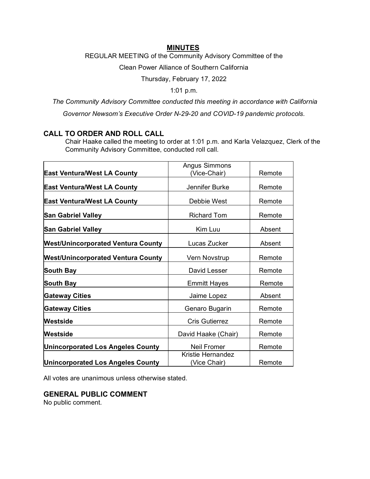## **MINUTES**

REGULAR MEETING of the Community Advisory Committee of the

Clean Power Alliance of Southern California

Thursday, February 17, 2022

1:01 p.m.

*The Community Advisory Committee conducted this meeting in accordance with California* 

*Governor Newsom's Executive Order N-29-20 and COVID-19 pandemic protocols.*

# **CALL TO ORDER AND ROLL CALL**

Chair Haake called the meeting to order at 1:01 p.m. and Karla Velazquez, Clerk of the Community Advisory Committee, conducted roll call.

|                                           | <b>Angus Simmons</b>              |        |
|-------------------------------------------|-----------------------------------|--------|
| <b>East Ventura/West LA County</b>        | (Vice-Chair)                      | Remote |
| <b>East Ventura/West LA County</b>        | Jennifer Burke                    | Remote |
| <b>East Ventura/West LA County</b>        | Debbie West                       | Remote |
| <b>San Gabriel Valley</b>                 | <b>Richard Tom</b>                | Remote |
| <b>San Gabriel Valley</b>                 | Kim Luu                           | Absent |
| <b>West/Unincorporated Ventura County</b> | Lucas Zucker                      | Absent |
| <b>West/Unincorporated Ventura County</b> | Vern Novstrup                     | Remote |
| <b>South Bay</b>                          | David Lesser                      | Remote |
| South Bay                                 | <b>Emmitt Hayes</b>               | Remote |
| <b>Gateway Cities</b>                     | Jaime Lopez                       | Absent |
| <b>Gateway Cities</b>                     | Genaro Bugarin                    | Remote |
| Westside                                  | <b>Cris Gutierrez</b>             | Remote |
| Westside                                  | David Haake (Chair)               | Remote |
| <b>Unincorporated Los Angeles County</b>  | <b>Neil Fromer</b>                | Remote |
| <b>Unincorporated Los Angeles County</b>  | Kristie Hernandez<br>(Vice Chair) | Remote |

All votes are unanimous unless otherwise stated.

**GENERAL PUBLIC COMMENT**

No public comment.